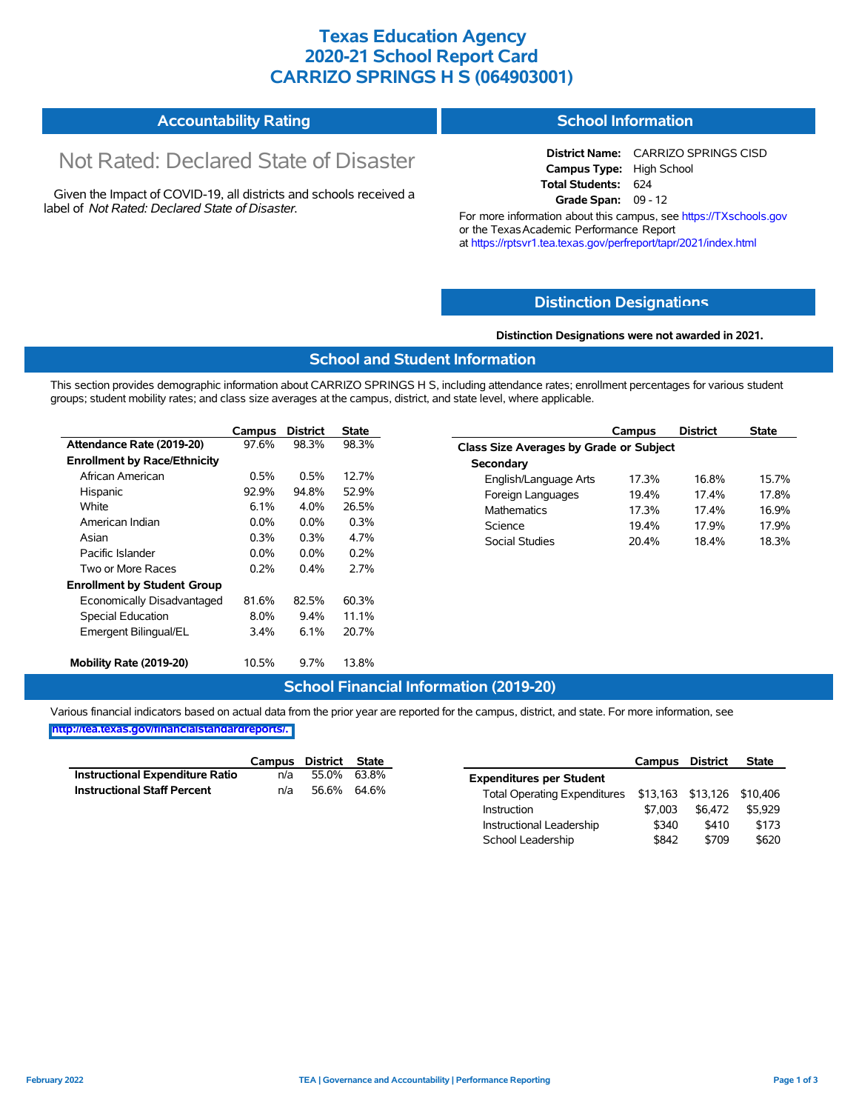# **Texas Education Agency 2020-21 School Report Card CARRIZO SPRINGS H S (064903001)**

#### **Accountability Rating School Information**

# Not Rated: Declared State of Disaster

Given the Impact of COVID-19, all districts and schools received a label of *Not Rated: Declared State of Disaster.*

**District Name:** CARRIZO SPRINGS CISD **Campus Type:** High School **Total Students:** 624 **Grade Span:** 09 - 12

For more information about this campus, see https://TXschools.gov or the Texas Academic Performance Report at https://rptsvr1.tea.texas.gov/perfreport/tapr/2021/index.html

## **Distinction Designat[ions](https://TXschools.gov)**

#### **Distinction Designations were not awarded in 2021.**

## **School and Student Information**

This section provides demographic information about CARRIZO SPRINGS H S, including attendance rates; enrollment percentages for various student groups; student mobility rates; and class size averages at the campus, district, and state level, where applicable.

|                                     | Campus  | <b>District</b> | State |
|-------------------------------------|---------|-----------------|-------|
| Attendance Rate (2019-20)           | 97.6%   | 98.3%           | 98.3% |
| <b>Enrollment by Race/Ethnicity</b> |         |                 |       |
| African American                    | $0.5\%$ | $0.5\%$         | 12.7% |
| Hispanic                            | 92.9%   | 94.8%           | 52.9% |
| White                               | $6.1\%$ | 4.0%            | 26.5% |
| American Indian                     | $0.0\%$ | $0.0\%$         | 0.3%  |
| Asian                               | $0.3\%$ | $0.3\%$         | 4.7%  |
| Pacific Islander                    | $0.0\%$ | $0.0\%$         | 0.2%  |
| Two or More Races                   | 0.2%    | 0.4%            | 2.7%  |
| <b>Enrollment by Student Group</b>  |         |                 |       |
| Economically Disadvantaged          | 81.6%   | 82.5%           | 60.3% |
| <b>Special Education</b>            | $8.0\%$ | $9.4\%$         | 11.1% |
| Emergent Bilingual/EL               | $3.4\%$ | 6.1%            | 20.7% |
| Mobility Rate (2019-20)             | 10.5%   | $9.7\%$         | 13.8% |

|                                                | Campus | <b>District</b> | <b>State</b> |
|------------------------------------------------|--------|-----------------|--------------|
| <b>Class Size Averages by Grade or Subject</b> |        |                 |              |
| Secondary                                      |        |                 |              |
| English/Language Arts                          | 17.3%  | 16.8%           | 15.7%        |
| Foreign Languages                              | 19.4%  | 174%            | 17.8%        |
| Mathematics                                    | 17.3%  | 174%            | 16.9%        |
| Science                                        | 19.4%  | 17 9%           | 17 9%        |
| Social Studies                                 | 20.4%  | 18.4%           | 18.3%        |

## **School Financial Information (2019-20)**

|                                        | Campus District State |             |  |
|----------------------------------------|-----------------------|-------------|--|
| <b>Instructional Expenditure Ratio</b> | n/a                   | 55.0% 63.8% |  |
| <b>Instructional Staff Percent</b>     | n/a                   | 56.6% 64.6% |  |

|                                     | Campus   | District | State    |
|-------------------------------------|----------|----------|----------|
| <b>Expenditures per Student</b>     |          |          |          |
| <b>Total Operating Expenditures</b> | \$13.163 | \$13,126 | \$10,406 |
| Instruction                         | \$7.003  | \$6.472  | \$5.929  |
| Instructional Leadership            | \$340    | \$410    | \$173    |
| School Leadership                   | \$842    | \$709    | \$620    |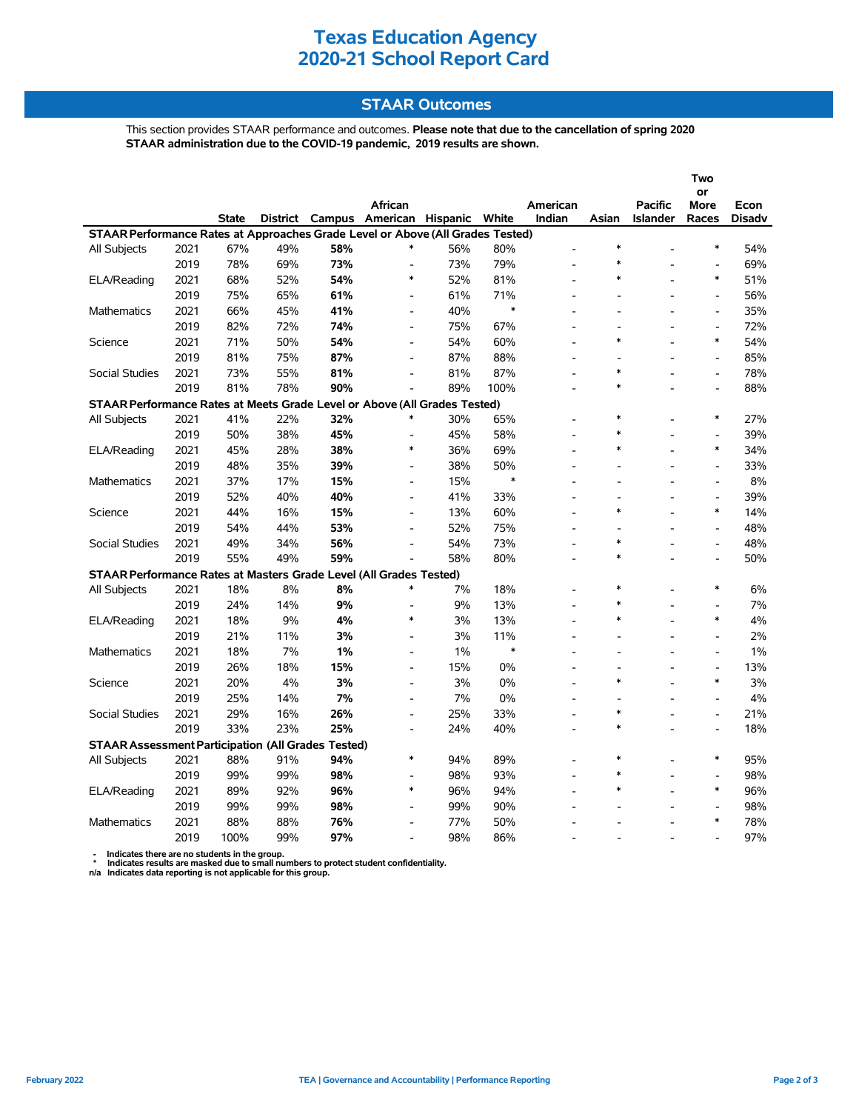# **STAAR Outcomes**

This section provides STAAR performance and outcomes. **Please note that due to the cancellation of spring 2020 STAAR administration due to the COVID-19 pandemic, 2019 results are shown.**

|                                                                                |              |              |                 |        |                              |            |            |                          |                          |                                   | Two                      |                       |
|--------------------------------------------------------------------------------|--------------|--------------|-----------------|--------|------------------------------|------------|------------|--------------------------|--------------------------|-----------------------------------|--------------------------|-----------------------|
|                                                                                |              |              |                 |        |                              |            |            |                          |                          |                                   | or                       |                       |
|                                                                                |              | <b>State</b> | <b>District</b> | Campus | African<br>American Hispanic |            | White      | American<br>Indian       | Asian                    | <b>Pacific</b><br><b>Islander</b> | More<br>Races            | Econ<br><b>Disadv</b> |
| STAAR Performance Rates at Approaches Grade Level or Above (All Grades Tested) |              |              |                 |        |                              |            |            |                          |                          |                                   |                          |                       |
| All Subjects                                                                   | 2021         | 67%          | 49%             | 58%    | ∗                            | 56%        | 80%        | $\overline{a}$           | $\ast$                   |                                   | $\ast$                   | 54%                   |
|                                                                                | 2019         | 78%          | 69%             | 73%    | $\overline{a}$               | 73%        | 79%        |                          | $\ast$                   |                                   |                          | 69%                   |
| ELA/Reading                                                                    | 2021         | 68%          | 52%             | 54%    | $\ast$                       | 52%        | 81%        | $\overline{a}$           | $\ast$                   |                                   | $\ast$                   | 51%                   |
|                                                                                | 2019         | 75%          | 65%             | 61%    | $\overline{\phantom{a}}$     | 61%        | 71%        |                          |                          |                                   | $\overline{\phantom{a}}$ | 56%                   |
| <b>Mathematics</b>                                                             | 2021         | 66%          | 45%             | 41%    | $\blacksquare$               | 40%        | $\ast$     |                          |                          |                                   | $\blacksquare$           | 35%                   |
|                                                                                | 2019         | 82%          | 72%             | 74%    | $\blacksquare$               | 75%        | 67%        |                          |                          |                                   | $\overline{a}$           | 72%                   |
| Science                                                                        | 2021         | 71%          | 50%             | 54%    | $\overline{a}$               | 54%        | 60%        |                          | $\ast$                   |                                   | $\ast$                   | 54%                   |
|                                                                                | 2019         | 81%          | 75%             | 87%    | $\blacksquare$               | 87%        | 88%        |                          | $\overline{\phantom{a}}$ |                                   | $\overline{\phantom{a}}$ | 85%                   |
| Social Studies                                                                 | 2021         | 73%          | 55%             | 81%    | $\overline{\phantom{a}}$     | 81%        | 87%        |                          | $\ast$                   |                                   | $\overline{a}$           | 78%                   |
|                                                                                | 2019         | 81%          | 78%             | 90%    | $\overline{a}$               | 89%        | 100%       |                          | $\ast$                   |                                   | $\overline{a}$           | 88%                   |
|                                                                                |              |              |                 |        |                              |            |            |                          |                          |                                   |                          |                       |
| STAAR Performance Rates at Meets Grade Level or Above (All Grades Tested)      | 2021         | 41%          | 22%             | 32%    |                              | 30%        | 65%        |                          | $\ast$                   |                                   | $\ast$                   | 27%                   |
| All Subjects                                                                   |              |              |                 | 45%    |                              |            |            |                          | $\ast$                   |                                   |                          |                       |
|                                                                                | 2019<br>2021 | 50%<br>45%   | 38%<br>28%      | 38%    | $\overline{a}$<br>$\ast$     | 45%<br>36% | 58%<br>69% | $\overline{a}$           | $\ast$                   |                                   | $\overline{a}$<br>$\ast$ | 39%<br>34%            |
| ELA/Reading                                                                    | 2019         | 48%          |                 | 39%    |                              | 38%        | 50%        |                          |                          |                                   |                          | 33%                   |
|                                                                                |              |              | 35%             |        | $\overline{\phantom{a}}$     |            | $\ast$     | $\overline{\phantom{a}}$ | $\overline{\phantom{a}}$ |                                   | $\overline{\phantom{a}}$ |                       |
| <b>Mathematics</b>                                                             | 2021         | 37%          | 17%             | 15%    | $\blacksquare$               | 15%        |            |                          |                          |                                   | $\blacksquare$           | 8%                    |
|                                                                                | 2019         | 52%          | 40%             | 40%    | $\blacksquare$               | 41%        | 33%        |                          | $\ast$                   |                                   | $\overline{a}$<br>$\ast$ | 39%                   |
| Science                                                                        | 2021         | 44%          | 16%             | 15%    | $\overline{a}$               | 13%        | 60%        |                          |                          |                                   |                          | 14%                   |
|                                                                                | 2019         | 54%          | 44%             | 53%    | $\blacksquare$               | 52%        | 75%        |                          | $\overline{\phantom{a}}$ |                                   | $\frac{1}{2}$            | 48%                   |
| <b>Social Studies</b>                                                          | 2021         | 49%          | 34%             | 56%    |                              | 54%        | 73%        |                          | $\ast$                   |                                   | $\overline{\phantom{a}}$ | 48%                   |
|                                                                                | 2019         | 55%          | 49%             | 59%    |                              | 58%        | 80%        |                          | $\ast$                   |                                   |                          | 50%                   |
| STAAR Performance Rates at Masters Grade Level (All Grades Tested)             |              |              |                 |        |                              |            |            |                          |                          |                                   |                          |                       |
| All Subjects                                                                   | 2021         | 18%          | 8%              | 8%     | $\ast$                       | 7%         | 18%        |                          | $\ast$                   |                                   | $\ast$                   | 6%                    |
|                                                                                | 2019         | 24%          | 14%             | 9%     | $\overline{\phantom{a}}$     | 9%         | 13%        |                          | $\ast$                   |                                   |                          | 7%                    |
| ELA/Reading                                                                    | 2021         | 18%          | 9%              | 4%     | $\ast$                       | 3%         | 13%        | $\overline{a}$           | $\ast$                   |                                   | $\ast$                   | 4%                    |
|                                                                                | 2019         | 21%          | 11%             | 3%     | $\blacksquare$               | 3%         | 11%        | $\overline{\phantom{a}}$ |                          |                                   | $\blacksquare$           | 2%                    |
| <b>Mathematics</b>                                                             | 2021         | 18%          | 7%              | 1%     | $\overline{a}$               | 1%         | $\ast$     |                          |                          |                                   | $\overline{a}$           | 1%                    |
|                                                                                | 2019         | 26%          | 18%             | 15%    | $\blacksquare$               | 15%        | 0%         |                          |                          |                                   | $\overline{a}$           | 13%                   |
| Science                                                                        | 2021         | 20%          | 4%              | 3%     | $\blacksquare$               | 3%         | 0%         |                          | $\ast$                   |                                   | $\ast$                   | 3%                    |
|                                                                                | 2019         | 25%          | 14%             | 7%     | $\blacksquare$               | 7%         | 0%         |                          | $\overline{\phantom{a}}$ |                                   | $\frac{1}{2}$            | 4%                    |
| Social Studies                                                                 | 2021         | 29%          | 16%             | 26%    | L,                           | 25%        | 33%        |                          | $\ast$                   |                                   | $\overline{a}$           | 21%                   |
|                                                                                | 2019         | 33%          | 23%             | 25%    | $\overline{a}$               | 24%        | 40%        | $\overline{a}$           | $\ast$                   |                                   | $\overline{a}$           | 18%                   |
| <b>STAAR Assessment Participation (All Grades Tested)</b>                      |              |              |                 |        |                              |            |            |                          |                          |                                   |                          |                       |
| All Subjects                                                                   | 2021         | 88%          | 91%             | 94%    | $\ast$                       | 94%        | 89%        |                          | $\ast$                   |                                   | $\ast$                   | 95%                   |
|                                                                                | 2019         | 99%          | 99%             | 98%    | $\overline{a}$               | 98%        | 93%        |                          | $\ast$                   |                                   | $\overline{a}$           | 98%                   |
| ELA/Reading                                                                    | 2021         | 89%          | 92%             | 96%    | $\ast$                       | 96%        | 94%        |                          | $\ast$                   |                                   | $\ast$                   | 96%                   |
|                                                                                | 2019         | 99%          | 99%             | 98%    | $\blacksquare$               | 99%        | 90%        |                          |                          |                                   | $\overline{\phantom{a}}$ | 98%                   |
| <b>Mathematics</b>                                                             | 2021         | 88%          | 88%             | 76%    | $\overline{a}$               | 77%        | 50%        |                          |                          |                                   | $\ast$                   | 78%                   |
|                                                                                | 2019         | 100%         | 99%             | 97%    | $\overline{\phantom{a}}$     | 98%        | 86%        |                          |                          |                                   |                          | 97%                   |

 **- Indicates there are no students in the group. \* Indicates results are masked due to small numbers to protect student confidentiality.**

**n/a Indicates data reporting is not applicable for this group.**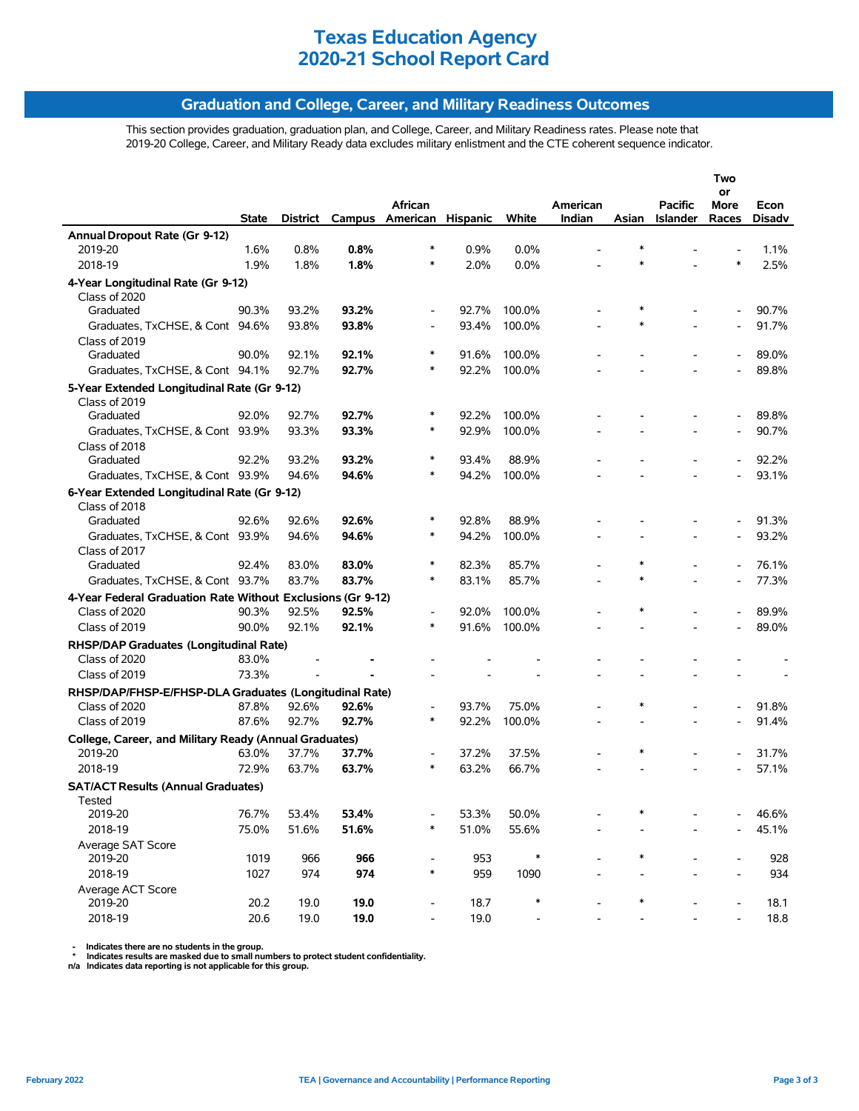# **Graduation and College, Career, and Military Readiness Outcomes**

This section provides graduation, graduation plan, and College, Career, and Military Readiness rates. Please note that 2019-20 College, Career, and Military Ready data excludes military enlistment and the CTE coherent sequence indicator.

|                                                             |                |                |                 |                                    |                |                |          |        |                | Two                      |                |
|-------------------------------------------------------------|----------------|----------------|-----------------|------------------------------------|----------------|----------------|----------|--------|----------------|--------------------------|----------------|
|                                                             |                |                |                 | African                            |                |                | American |        | <b>Pacific</b> | or<br>More               | Econ           |
|                                                             | State          |                | District Campus | American Hispanic                  |                | White          | Indian   | Asian  | Islander       | Races                    | <b>Disadv</b>  |
| Annual Dropout Rate (Gr 9-12)                               |                |                |                 |                                    |                |                |          |        |                |                          |                |
| 2019-20                                                     | 1.6%           | 0.8%           | 0.8%            | *                                  | 0.9%           | 0.0%           |          |        |                |                          | 1.1%           |
| 2018-19                                                     | 1.9%           | 1.8%           | 1.8%            | *                                  | 2.0%           | 0.0%           |          |        |                | $\ast$                   | 2.5%           |
| 4-Year Longitudinal Rate (Gr 9-12)                          |                |                |                 |                                    |                |                |          |        |                |                          |                |
| Class of 2020                                               |                |                |                 |                                    |                |                |          |        |                |                          |                |
| Graduated                                                   | 90.3%          | 93.2%          | 93.2%           | $\overline{a}$                     | 92.7%          | 100.0%         |          |        |                |                          | 90.7%          |
| Graduates, TxCHSE, & Cont 94.6%                             |                | 93.8%          | 93.8%           | $\overline{a}$                     | 93.4%          | 100.0%         |          | $\ast$ |                |                          | 91.7%          |
| Class of 2019                                               |                |                |                 |                                    |                |                |          |        |                |                          |                |
| Graduated                                                   | 90.0%          | 92.1%          | 92.1%           | $\ast$                             | 91.6%          | 100.0%         |          |        |                |                          | 89.0%          |
| Graduates, TxCHSE, & Cont 94.1%                             |                | 92.7%          | 92.7%           | *                                  | 92.2%          | 100.0%         |          |        |                |                          | 89.8%          |
| 5-Year Extended Longitudinal Rate (Gr 9-12)                 |                |                |                 |                                    |                |                |          |        |                |                          |                |
| Class of 2019                                               |                |                |                 |                                    |                |                |          |        |                |                          |                |
| Graduated                                                   | 92.0%          | 92.7%          | 92.7%           | $\ast$                             | 92.2%          | 100.0%         |          |        |                |                          | 89.8%          |
| Graduates, TxCHSE, & Cont 93.9%                             |                | 93.3%          | 93.3%           | $\ast$                             | 92.9%          | 100.0%         |          |        |                | $\overline{\phantom{a}}$ | 90.7%          |
| Class of 2018                                               |                |                |                 |                                    |                |                |          |        |                |                          |                |
| Graduated                                                   | 92.2%          | 93.2%          | 93.2%           | $\ast$                             | 93.4%          | 88.9%          |          |        |                |                          | 92.2%          |
| Graduates, TxCHSE, & Cont 93.9%                             |                | 94.6%          | 94.6%           | $\ast$                             | 94.2%          | 100.0%         |          |        |                |                          | 93.1%          |
| 6-Year Extended Longitudinal Rate (Gr 9-12)                 |                |                |                 |                                    |                |                |          |        |                |                          |                |
| Class of 2018                                               |                |                |                 |                                    |                |                |          |        |                |                          |                |
| Graduated                                                   | 92.6%          | 92.6%          | 92.6%           | $\ast$                             | 92.8%          | 88.9%          |          |        |                |                          | 91.3%          |
| Graduates, TxCHSE, & Cont 93.9%                             |                | 94.6%          | 94.6%           | $\ast$                             | 94.2%          | 100.0%         |          |        |                |                          | 93.2%          |
| Class of 2017                                               |                |                |                 |                                    |                |                |          |        |                |                          |                |
| Graduated                                                   | 92.4%          | 83.0%          | 83.0%           | $\ast$                             | 82.3%          | 85.7%          |          | *      |                |                          | 76.1%          |
| Graduates, TxCHSE, & Cont 93.7%                             |                | 83.7%          | 83.7%           | *                                  | 83.1%          | 85.7%          |          | $\ast$ |                |                          | 77.3%          |
| 4-Year Federal Graduation Rate Without Exclusions (Gr 9-12) |                |                |                 |                                    |                |                |          |        |                |                          |                |
| Class of 2020                                               | 90.3%          | 92.5%          | 92.5%           | $\overline{\phantom{a}}$           | 92.0%          | 100.0%         |          | *      |                |                          | 89.9%          |
| Class of 2019                                               | 90.0%          | 92.1%          | 92.1%           | $\ast$                             | 91.6%          | 100.0%         |          |        |                |                          | 89.0%          |
| RHSP/DAP Graduates (Longitudinal Rate)                      |                |                |                 |                                    |                |                |          |        |                |                          |                |
| Class of 2020                                               | 83.0%          |                |                 |                                    |                |                |          |        |                |                          |                |
| Class of 2019                                               | 73.3%          |                |                 |                                    |                |                |          |        |                |                          |                |
| RHSP/DAP/FHSP-E/FHSP-DLA Graduates (Longitudinal Rate)      |                |                |                 |                                    |                |                |          |        |                |                          |                |
| Class of 2020                                               | 87.8%          | 92.6%          | 92.6%           | $\overline{\phantom{a}}$           | 93.7%          | 75.0%          |          | *      |                |                          | 91.8%          |
| Class of 2019                                               | 87.6%          | 92.7%          | 92.7%           | *                                  | 92.2%          | 100.0%         |          |        |                |                          | 91.4%          |
|                                                             |                |                |                 |                                    |                |                |          |        |                |                          |                |
| College, Career, and Military Ready (Annual Graduates)      |                |                | 37.7%           |                                    |                |                |          | ∗      |                |                          |                |
| 2019-20<br>2018-19                                          | 63.0%<br>72.9% | 37.7%<br>63.7% | 63.7%           | $\overline{\phantom{a}}$<br>$\ast$ | 37.2%<br>63.2% | 37.5%<br>66.7% |          |        |                | $\blacksquare$           | 31.7%<br>57.1% |
|                                                             |                |                |                 |                                    |                |                |          |        |                |                          |                |
| <b>SAT/ACT Results (Annual Graduates)</b>                   |                |                |                 |                                    |                |                |          |        |                |                          |                |
| Tested                                                      |                |                |                 |                                    |                |                |          | *      |                |                          |                |
| 2019-20                                                     | 76.7%          | 53.4%          | 53.4%           | $\ast$                             | 53.3%          | 50.0%          |          |        |                |                          | 46.6%          |
| 2018-19                                                     | 75.0%          | 51.6%          | 51.6%           |                                    | 51.0%          | 55.6%          |          |        |                |                          | 45.1%          |
| Average SAT Score<br>2019-20                                | 1019           | 966            | 966             |                                    | 953            | $\ast$         |          |        |                |                          | 928            |
| 2018-19                                                     | 1027           | 974            | 974             | $\overline{\phantom{a}}$<br>$\ast$ | 959            | 1090           |          |        |                |                          | 934            |
|                                                             |                |                |                 |                                    |                |                |          |        |                |                          |                |
| Average ACT Score<br>2019-20                                | 20.2           | 19.0           | 19.0            | $\overline{\phantom{a}}$           | 18.7           | $\ast$         |          |        |                |                          | 18.1           |
| 2018-19                                                     | 20.6           | 19.0           | 19.0            | $\overline{\phantom{a}}$           | 19.0           |                |          |        |                |                          | 18.8           |
|                                                             |                |                |                 |                                    |                |                |          |        |                |                          |                |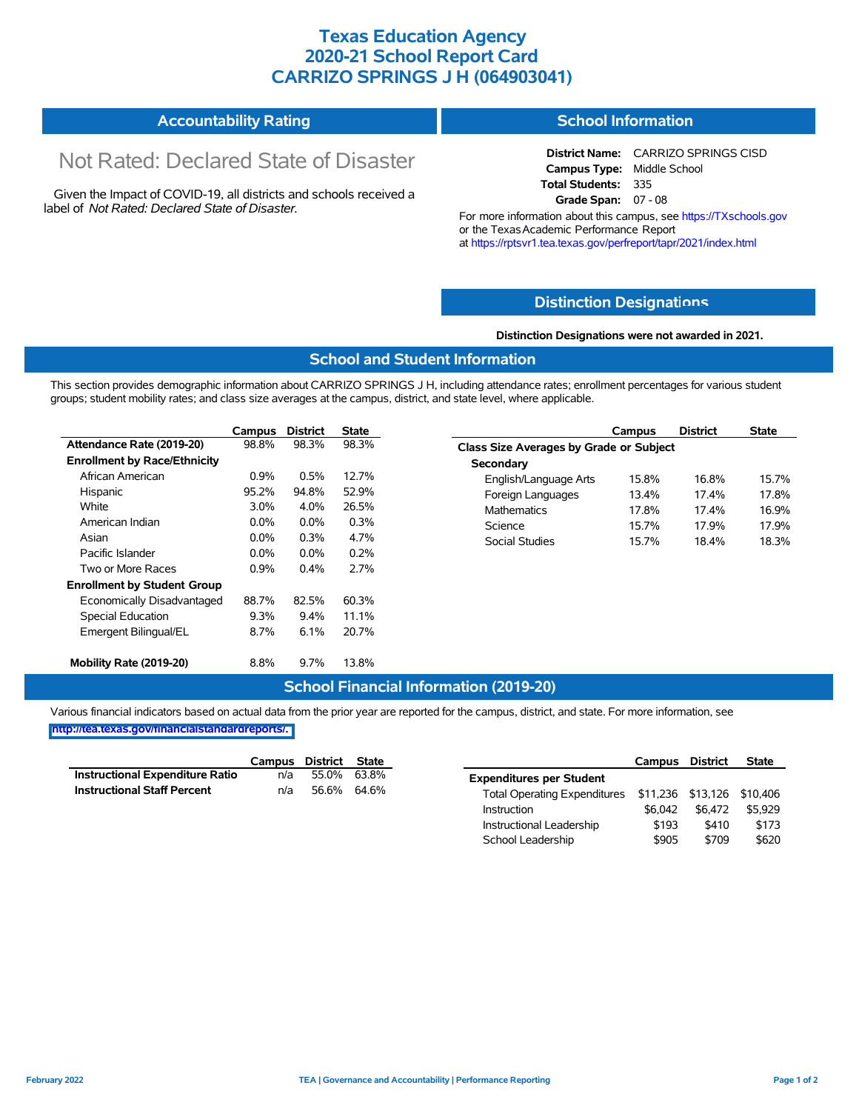# **Texas Education Agency 2020-21 School Report Card CARRIZO SPRINGS J H (064903041)**

#### **Accountability Rating School Information**

# Not Rated: Declared State of Disaster

Given the Impact of COVID-19, all districts and schools received a label of *Not Rated: Declared State of Disaster.*

**District Name:** CARRIZO SPRINGS CISD **Campus Type:** Middle School **Total Students:** 335 **Grade Span:** 07 - 08

For more information about this campus, see https://TXschools.gov or the TexasAcademic Performance Report at https://rptsvr1.tea.texas.gov/perfreport/tapr/2021/index.html

## **Distinction Designat[ions](https://TXschools.gov)**

#### **Distinction Designations were not awarded in 2021.**

## **School and Student Information**

This section provides demographic information about CARRIZO SPRINGS J H, including attendance rates; enrollment percentages for various student groups; student mobility rates; and class size averages at the campus, district, and state level, where applicable.

|                                     | Campus  | <b>District</b> | <b>State</b> |
|-------------------------------------|---------|-----------------|--------------|
| Attendance Rate (2019-20)           | 98.8%   | 98.3%           | 98.3%        |
| <b>Enrollment by Race/Ethnicity</b> |         |                 |              |
| African American                    | $0.9\%$ | 0.5%            | 12.7%        |
| Hispanic                            | 95.2%   | 94.8%           | 52.9%        |
| White                               | 3.0%    | 4.0%            | 26.5%        |
| American Indian                     | $0.0\%$ | $0.0\%$         | 0.3%         |
| Asian                               | $0.0\%$ | $0.3\%$         | 4.7%         |
| Pacific Islander                    | $0.0\%$ | $0.0\%$         | 0.2%         |
| Two or More Races                   | 0.9%    | $0.4\%$         | 2.7%         |
| <b>Enrollment by Student Group</b>  |         |                 |              |
| Economically Disadvantaged          | 88.7%   | 82.5%           | 60.3%        |
| <b>Special Education</b>            | $9.3\%$ | $9.4\%$         | 11.1%        |
| Emergent Bilingual/EL               | 8.7%    | 6.1%            | 20.7%        |
| Mobility Rate (2019-20)             | 8.8%    | $9.7\%$         | 13.8%        |

|                                                | Campus | <b>District</b> | <b>State</b> |
|------------------------------------------------|--------|-----------------|--------------|
| <b>Class Size Averages by Grade or Subject</b> |        |                 |              |
| Secondary                                      |        |                 |              |
| English/Language Arts                          | 15.8%  | 16.8%           | 157%         |
| Foreign Languages                              | 13.4%  | 174%            | 17.8%        |
| <b>Mathematics</b>                             | 17.8%  | 174%            | 16.9%        |
| Science                                        | 157%   | 17 9%           | 17 9%        |
| Social Studies                                 | 157%   | 18.4%           | 18.3%        |
|                                                |        |                 |              |

## **School Financial Information (2019-20)**

|                                        | Campus District State |             |  |
|----------------------------------------|-----------------------|-------------|--|
| <b>Instructional Expenditure Ratio</b> | n/a                   | 55.0% 63.8% |  |
| <b>Instructional Staff Percent</b>     | n/a                   | 56.6% 64.6% |  |

|                                     | Campus            | District | <b>State</b> |
|-------------------------------------|-------------------|----------|--------------|
| <b>Expenditures per Student</b>     |                   |          |              |
| <b>Total Operating Expenditures</b> | \$11,236 \$13,126 |          | \$10,406     |
| Instruction                         | \$6.042           | \$6.472  | \$5.929      |
| Instructional Leadership            | \$193             | \$410    | \$173        |
| School Leadership                   | \$905             | \$709    | \$620        |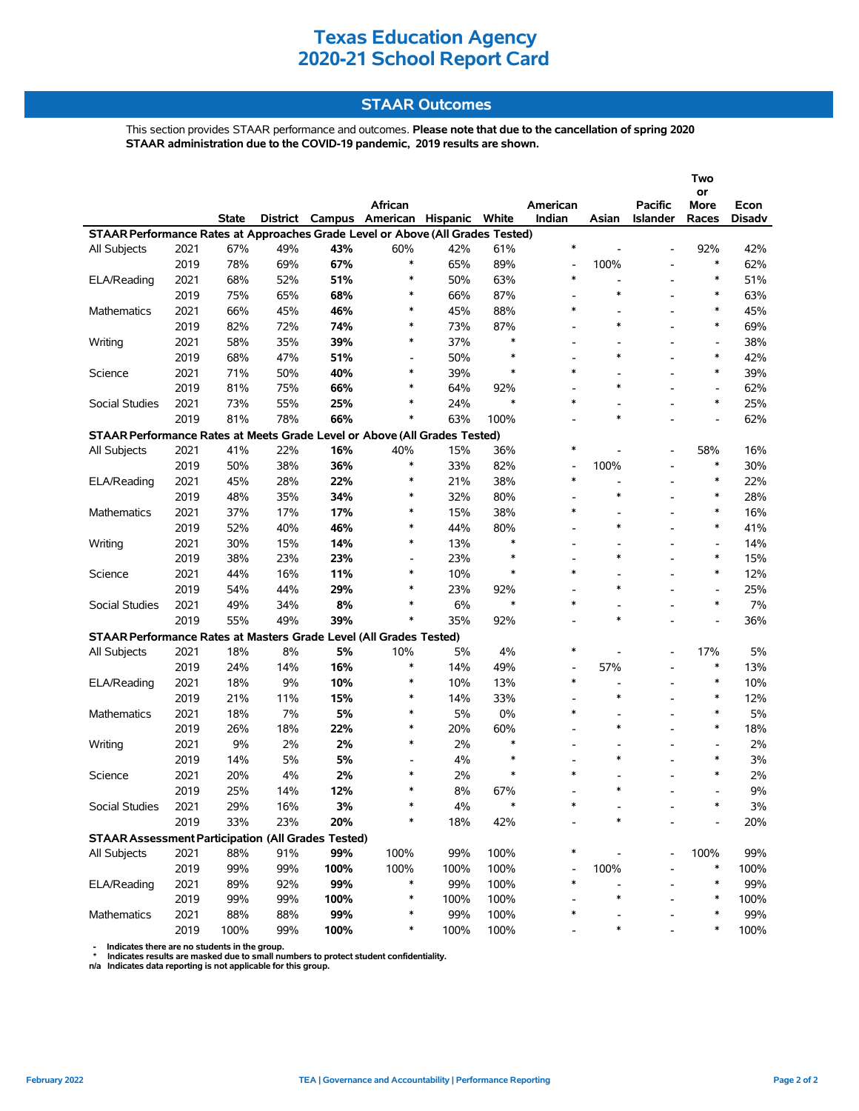# **STAAR Outcomes**

This section provides STAAR performance and outcomes. **Please note that due to the cancellation of spring 2020 STAAR administration due to the COVID-19 pandemic, 2019 results are shown.**

|                                                                                |      |              |          |      |                                    |      |               |                                    |                          |                 | Two                                |                |
|--------------------------------------------------------------------------------|------|--------------|----------|------|------------------------------------|------|---------------|------------------------------------|--------------------------|-----------------|------------------------------------|----------------|
|                                                                                |      |              |          |      | African                            |      |               | American                           |                          | Pacific         | or                                 |                |
|                                                                                |      | <b>State</b> | District |      | Campus American Hispanic           |      | White         | Indian                             | Asian                    | <b>Islander</b> | More<br>Races                      | Econ<br>Disadv |
| STAAR Performance Rates at Approaches Grade Level or Above (All Grades Tested) |      |              |          |      |                                    |      |               |                                    |                          |                 |                                    |                |
| All Subjects                                                                   | 2021 | 67%          | 49%      | 43%  | 60%                                | 42%  | 61%           | $\ast$                             |                          |                 | 92%                                | 42%            |
|                                                                                | 2019 | 78%          | 69%      | 67%  | $\ast$                             | 65%  | 89%           | $\qquad \qquad \blacksquare$       | 100%                     |                 | $\ast$                             | 62%            |
| ELA/Reading                                                                    | 2021 | 68%          | 52%      | 51%  | $\ast$                             | 50%  | 63%           | $\ast$                             | $\overline{a}$           |                 | $\ast$                             | 51%            |
|                                                                                | 2019 | 75%          | 65%      | 68%  | $\ast$                             | 66%  | 87%           | $\overline{\phantom{a}}$           | $\ast$                   |                 | $\ast$                             | 63%            |
| <b>Mathematics</b>                                                             | 2021 | 66%          | 45%      | 46%  | $\ast$                             | 45%  | 88%           | ∗                                  |                          |                 | $\ast$                             | 45%            |
|                                                                                | 2019 | 82%          | 72%      | 74%  | $\ast$                             | 73%  | 87%           |                                    | $\ast$                   |                 | $\ast$                             | 69%            |
| Writing                                                                        | 2021 | 58%          | 35%      | 39%  | $\ast$                             | 37%  | $\ast$        | $\overline{\phantom{a}}$           |                          |                 | $\overline{\phantom{a}}$           | 38%            |
|                                                                                | 2019 | 68%          | 47%      | 51%  | $\overline{\phantom{a}}$           | 50%  | $\ast$        |                                    | $\ast$                   |                 | $\ast$                             | 42%            |
| Science                                                                        | 2021 | 71%          | 50%      | 40%  | $\ast$                             | 39%  | $\ast$        | $\ast$                             |                          |                 | $\ast$                             | 39%            |
|                                                                                | 2019 | 81%          | 75%      | 66%  | $\ast$                             | 64%  | 92%           | $\overline{\phantom{a}}$           | $\ast$                   |                 | $\overline{\phantom{a}}$           | 62%            |
| Social Studies                                                                 | 2021 | 73%          | 55%      | 25%  | $\ast$                             | 24%  | $\ast$        | *                                  |                          |                 | $\ast$                             | 25%            |
|                                                                                | 2019 | 81%          | 78%      | 66%  | $\ast$                             | 63%  | 100%          |                                    | $\ast$                   |                 |                                    | 62%            |
| STAAR Performance Rates at Meets Grade Level or Above (All Grades Tested)      |      |              |          |      |                                    |      |               |                                    |                          |                 |                                    |                |
| All Subjects                                                                   | 2021 | 41%          | 22%      | 16%  | 40%                                | 15%  | 36%           | $\ast$                             |                          |                 | 58%                                | 16%            |
|                                                                                | 2019 | 50%          | 38%      | 36%  | $\ast$                             | 33%  | 82%           | $\overline{\phantom{a}}$           | 100%                     |                 | $\ast$                             | 30%            |
| ELA/Reading                                                                    | 2021 | 45%          | 28%      | 22%  | $\ast$                             | 21%  | 38%           | $\ast$                             | $\overline{\phantom{a}}$ |                 | $\ast$                             | 22%            |
|                                                                                | 2019 | 48%          | 35%      | 34%  | $\ast$                             | 32%  | 80%           |                                    | $\ast$                   |                 | $\ast$                             | 28%            |
|                                                                                |      |              |          |      | $\ast$                             |      | 38%           | $\ast$                             |                          |                 | $\ast$                             | 16%            |
| Mathematics                                                                    | 2021 | 37%          | 17%      | 17%  | $\ast$                             | 15%  |               |                                    | $\ast$                   |                 | $\ast$                             |                |
|                                                                                | 2019 | 52%          | 40%      | 46%  | $\ast$                             | 44%  | 80%<br>$\ast$ |                                    |                          |                 |                                    | 41%            |
| Writing                                                                        | 2021 | 30%          | 15%      | 14%  |                                    | 13%  | $\ast$        |                                    | $\ast$                   |                 | $\overline{a}$<br>$\ast$           | 14%            |
|                                                                                | 2019 | 38%          | 23%      | 23%  | $\overline{\phantom{a}}$<br>$\ast$ | 23%  | $\ast$        | $\ast$                             |                          |                 | $\ast$                             | 15%            |
| Science                                                                        | 2021 | 44%          | 16%      | 11%  | $\ast$                             | 10%  |               |                                    | $\ast$                   |                 |                                    | 12%            |
|                                                                                | 2019 | 54%          | 44%      | 29%  | $\ast$                             | 23%  | 92%<br>$\ast$ | $\overline{\phantom{a}}$<br>$\ast$ |                          |                 | $\overline{\phantom{a}}$<br>$\ast$ | 25%            |
| Social Studies                                                                 | 2021 | 49%          | 34%      | 8%   |                                    | 6%   |               |                                    |                          |                 |                                    | 7%             |
|                                                                                | 2019 | 55%          | 49%      | 39%  | $\ast$                             | 35%  | 92%           |                                    | $\ast$                   |                 |                                    | 36%            |
| STAAR Performance Rates at Masters Grade Level (All Grades Tested)             |      |              |          |      |                                    |      |               |                                    |                          |                 |                                    |                |
| All Subjects                                                                   | 2021 | 18%          | 8%       | 5%   | 10%                                | 5%   | 4%            | $\ast$                             |                          |                 | 17%                                | 5%             |
|                                                                                | 2019 | 24%          | 14%      | 16%  | $\ast$                             | 14%  | 49%           |                                    | 57%                      |                 | $\ast$                             | 13%            |
| ELA/Reading                                                                    | 2021 | 18%          | 9%       | 10%  | $\ast$                             | 10%  | 13%           | ∗                                  | $\blacksquare$           |                 | $\ast$                             | 10%            |
|                                                                                | 2019 | 21%          | 11%      | 15%  | $\ast$                             | 14%  | 33%           |                                    | $\ast$                   |                 | $\ast$                             | 12%            |
| Mathematics                                                                    | 2021 | 18%          | 7%       | 5%   | $\ast$                             | 5%   | 0%            | $\ast$                             |                          |                 | $\ast$                             | 5%             |
|                                                                                | 2019 | 26%          | 18%      | 22%  | $\ast$                             | 20%  | 60%           |                                    | $\ast$                   |                 | $\ast$                             | 18%            |
| Writing                                                                        | 2021 | 9%           | 2%       | 2%   | $\ast$                             | 2%   | $\ast$        |                                    |                          |                 | $\overline{\phantom{a}}$           | 2%             |
|                                                                                | 2019 | 14%          | 5%       | 5%   |                                    | 4%   | $\ast$        |                                    | $\ast$                   |                 | $\ast$                             | 3%             |
| Science                                                                        | 2021 | 20%          | 4%       | 2%   | $\ast$                             | 2%   | $\ast$        | $\ast$                             |                          |                 | $\ast$                             | 2%             |
|                                                                                | 2019 | 25%          | 14%      | 12%  | ∗                                  | 8%   | 67%           |                                    | $\ast$                   |                 |                                    | 9%             |
| Social Studies                                                                 | 2021 | 29%          | 16%      | 3%   |                                    | 4%   |               |                                    |                          |                 |                                    | 3%             |
|                                                                                | 2019 | 33%          | 23%      | 20%  | $\ast$                             | 18%  | 42%           |                                    | ∗                        |                 |                                    | 20%            |
| <b>STAAR Assessment Participation (All Grades Tested)</b>                      |      |              |          |      |                                    |      |               |                                    |                          |                 |                                    |                |
| All Subjects                                                                   | 2021 | 88%          | 91%      | 99%  | 100%                               | 99%  | 100%          | *                                  |                          |                 | 100%                               | 99%            |
|                                                                                | 2019 | 99%          | 99%      | 100% | 100%                               | 100% | 100%          |                                    | 100%                     |                 | $\ast$                             | 100%           |
| ELA/Reading                                                                    | 2021 | 89%          | 92%      | 99%  | $\ast$                             | 99%  | 100%          |                                    |                          |                 | $\ast$                             | 99%            |
|                                                                                | 2019 | 99%          | 99%      | 100% | $\ast$                             | 100% | 100%          |                                    |                          |                 | ∗                                  | 100%           |
| Mathematics                                                                    | 2021 | 88%          | 88%      | 99%  | ∗                                  | 99%  | 100%          | ∗                                  |                          |                 | ∗                                  | 99%            |
|                                                                                | 2019 | 100%         | 99%      | 100% | $\ast$                             | 100% | 100%          |                                    | ∗                        |                 | $\ast$                             | 100%           |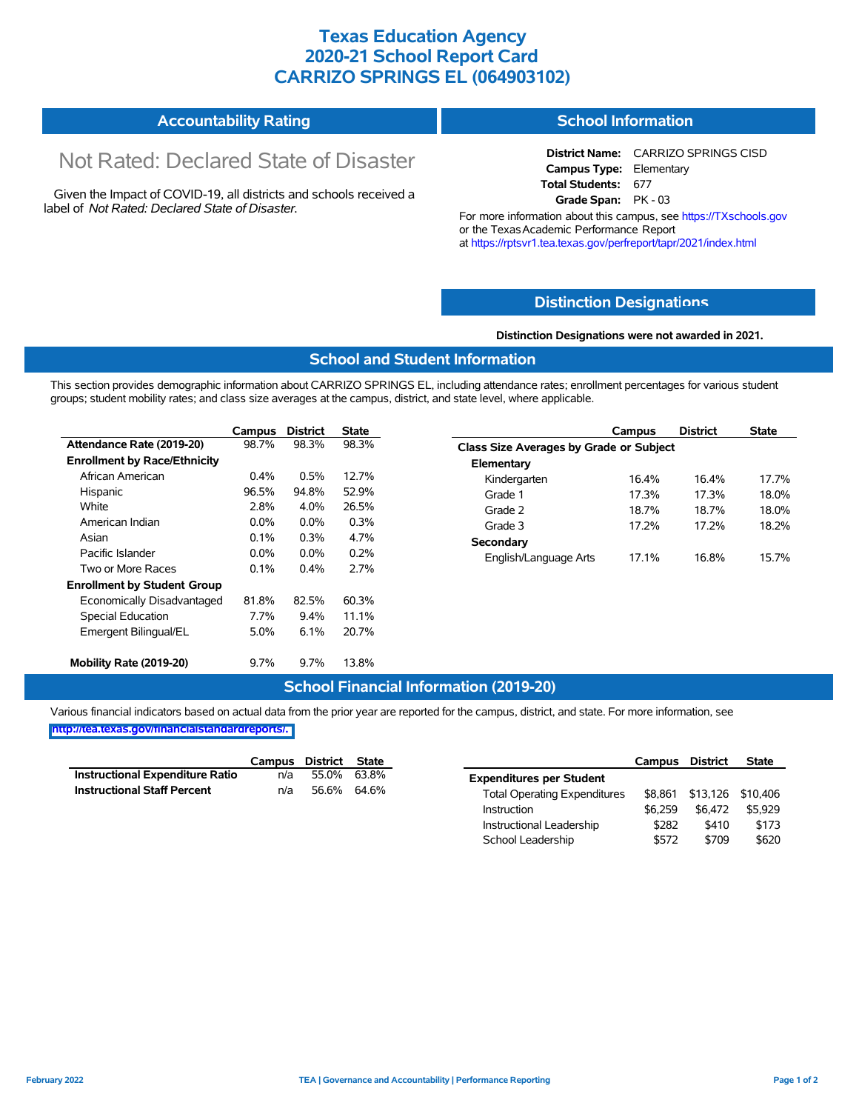# **Texas Education Agency 2020-21 School Report Card CARRIZO SPRINGS EL (064903102)**

#### **Accountability Rating School Information**

# Not Rated: Declared State of Disaster

Given the Impact of COVID-19, all districts and schools received a label of *Not Rated: Declared State of Disaster.*

**District Name:** CARRIZO SPRINGS CISD **Campus Type:** Elementary **Total Students:** 677 **Grade Span:** PK - 03

For more information about this campus, see https://TXschools.gov or the Texas Academic Performance Report at https://rptsvr1.tea.texas.gov/perfreport/tapr/2021/index.html

## **Distinction Designat[ions](https://TXschools.gov)**

#### **Distinction Designations were not awarded in 2021.**

## **School and Student Information**

This section provides demographic information about CARRIZO SPRINGS EL, including attendance rates; enrollment percentages for various student groups; student mobility rates; and class size averages at the campus, district, and state level, where applicable.

|                                     | Campus  | <b>District</b> | <b>State</b> |
|-------------------------------------|---------|-----------------|--------------|
| Attendance Rate (2019-20)           | 98.7%   | 98.3%           | 98.3%        |
| <b>Enrollment by Race/Ethnicity</b> |         |                 |              |
| African American                    | $0.4\%$ | 0.5%            | 12.7%        |
| Hispanic                            | 96.5%   | 94.8%           | 52.9%        |
| White                               | 2.8%    | 4.0%            | 26.5%        |
| American Indian                     | $0.0\%$ | $0.0\%$         | 0.3%         |
| Asian                               | $0.1\%$ | $0.3\%$         | 4.7%         |
| Pacific Islander                    | $0.0\%$ | $0.0\%$         | 0.2%         |
| Two or More Races                   | 0.1%    | $0.4\%$         | 2.7%         |
| <b>Enrollment by Student Group</b>  |         |                 |              |
| Economically Disadvantaged          | 81.8%   | 82.5%           | 60.3%        |
| Special Education                   | 7.7%    | $9.4\%$         | 11.1%        |
| Emergent Bilingual/EL               | 5.0%    | 6.1%            | 20.7%        |
| Mobility Rate (2019-20)             | 9.7%    | $9.7\%$         | 13.8%        |

|                                         | Campus | <b>District</b> | <b>State</b> |  |  |  |  |  |  |  |
|-----------------------------------------|--------|-----------------|--------------|--|--|--|--|--|--|--|
| Class Size Averages by Grade or Subject |        |                 |              |  |  |  |  |  |  |  |
| Elementary                              |        |                 |              |  |  |  |  |  |  |  |
| Kindergarten                            | 16.4%  | 16.4%           | 17 7%        |  |  |  |  |  |  |  |
| Grade 1                                 | 17.3%  | 17.3%           | 18.0%        |  |  |  |  |  |  |  |
| Grade 2                                 | 18.7%  | 18.7%           | 18.0%        |  |  |  |  |  |  |  |
| Grade 3                                 | 17.2%  | 17 2%           | 18.2%        |  |  |  |  |  |  |  |
| Secondary                               |        |                 |              |  |  |  |  |  |  |  |
| English/Language Arts                   | 17.1%  | 16.8%           | 15.7%        |  |  |  |  |  |  |  |

## **School Financial Information (2019-20)**

|                                        | Campus District State |             |  |
|----------------------------------------|-----------------------|-------------|--|
| <b>Instructional Expenditure Ratio</b> | n/a                   | 55.0% 63.8% |  |
| <b>Instructional Staff Percent</b>     | n/a                   | 56.6% 64.6% |  |

|                                     | Campus  | District | <b>State</b> |
|-------------------------------------|---------|----------|--------------|
| <b>Expenditures per Student</b>     |         |          |              |
| <b>Total Operating Expenditures</b> | \$8.861 | \$13,126 | \$10,406     |
| Instruction                         | \$6.259 | \$6.472  | \$5.929      |
| Instructional Leadership            | \$282   | \$410    | \$173        |
| School Leadership                   | \$572   | \$709    | \$620        |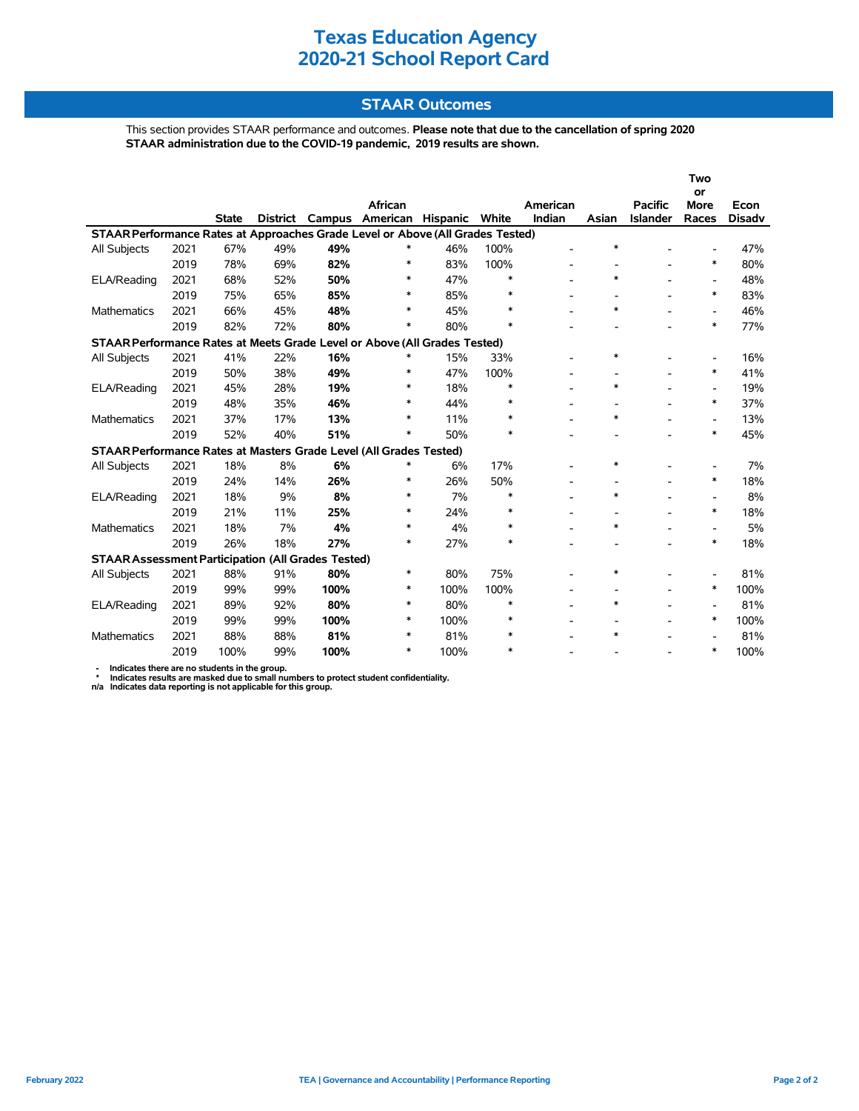# **STAAR Outcomes**

This section provides STAAR performance and outcomes. **Please note that due to the cancellation of spring 2020 STAAR administration due to the COVID-19 pandemic, 2019 results are shown.**

|                                                                                |      |              |          |      |                 |                |        |          |                          |                 | Two<br>or                |               |
|--------------------------------------------------------------------------------|------|--------------|----------|------|-----------------|----------------|--------|----------|--------------------------|-----------------|--------------------------|---------------|
|                                                                                |      |              |          |      | African         |                |        | American |                          | <b>Pacific</b>  | <b>More</b>              | Econ          |
|                                                                                |      | <b>State</b> | District |      | Campus American | Hispanic White |        | Indian   | Asian                    | <b>Islander</b> | Races                    | <b>Disadv</b> |
| STAAR Performance Rates at Approaches Grade Level or Above (All Grades Tested) |      |              |          |      |                 |                |        |          |                          |                 |                          |               |
| All Subjects                                                                   | 2021 | 67%          | 49%      | 49%  | ∗               | 46%            | 100%   |          | $\ast$                   |                 |                          | 47%           |
|                                                                                | 2019 | 78%          | 69%      | 82%  | $\ast$          | 83%            | 100%   |          |                          |                 | $\ast$                   | 80%           |
| ELA/Reading                                                                    | 2021 | 68%          | 52%      | 50%  | ∗               | 47%            | ∗      |          | $\ast$                   |                 | $\overline{\phantom{0}}$ | 48%           |
|                                                                                | 2019 | 75%          | 65%      | 85%  | $\ast$          | 85%            | *      |          |                          |                 | $\ast$                   | 83%           |
| <b>Mathematics</b>                                                             | 2021 | 66%          | 45%      | 48%  | $\ast$          | 45%            | $\ast$ |          | $\ast$                   |                 | $\overline{\phantom{a}}$ | 46%           |
|                                                                                | 2019 | 82%          | 72%      | 80%  | $\ast$          | 80%            | $\ast$ |          |                          |                 | $\ast$                   | 77%           |
| STAAR Performance Rates at Meets Grade Level or Above (All Grades Tested)      |      |              |          |      |                 |                |        |          |                          |                 |                          |               |
| All Subjects                                                                   | 2021 | 41%          | 22%      | 16%  | ∗               | 15%            | 33%    |          | $\ast$                   |                 | $\overline{\phantom{0}}$ | 16%           |
|                                                                                | 2019 | 50%          | 38%      | 49%  | $\ast$          | 47%            | 100%   |          |                          |                 | $\ast$                   | 41%           |
| ELA/Reading                                                                    | 2021 | 45%          | 28%      | 19%  | ∗               | 18%            | *      |          | $\ast$                   |                 | $\overline{\phantom{a}}$ | 19%           |
|                                                                                | 2019 | 48%          | 35%      | 46%  | $\ast$          | 44%            | *      |          |                          |                 | $\ast$                   | 37%           |
| <b>Mathematics</b>                                                             | 2021 | 37%          | 17%      | 13%  | $\ast$          | 11%            | $\ast$ |          | $\ast$                   |                 | $\overline{a}$           | 13%           |
|                                                                                | 2019 | 52%          | 40%      | 51%  | ∗               | 50%            | *      |          |                          |                 | $\ast$                   | 45%           |
| STAAR Performance Rates at Masters Grade Level (All Grades Tested)             |      |              |          |      |                 |                |        |          |                          |                 |                          |               |
| All Subjects                                                                   | 2021 | 18%          | 8%       | 6%   | *               | 6%             | 17%    |          | $\ast$                   |                 |                          | 7%            |
|                                                                                | 2019 | 24%          | 14%      | 26%  | $\ast$          | 26%            | 50%    |          |                          |                 | $\ast$                   | 18%           |
| ELA/Reading                                                                    | 2021 | 18%          | 9%       | 8%   | $\ast$          | 7%             | $\ast$ |          | $\ast$                   |                 | $\overline{\phantom{0}}$ | 8%            |
|                                                                                | 2019 | 21%          | 11%      | 25%  | $\ast$          | 24%            | ∗      |          | $\overline{\phantom{a}}$ |                 | $\ast$                   | 18%           |
| <b>Mathematics</b>                                                             | 2021 | 18%          | 7%       | 4%   | $\ast$          | 4%             | $\ast$ |          | $\ast$                   |                 | $\overline{a}$           | 5%            |
|                                                                                | 2019 | 26%          | 18%      | 27%  | $\ast$          | 27%            | $\ast$ |          |                          |                 | $\ast$                   | 18%           |
| <b>STAAR Assessment Participation (All Grades Tested)</b>                      |      |              |          |      |                 |                |        |          |                          |                 |                          |               |
| All Subjects                                                                   | 2021 | 88%          | 91%      | 80%  | $\ast$          | 80%            | 75%    |          | $\ast$                   |                 |                          | 81%           |
|                                                                                | 2019 | 99%          | 99%      | 100% | $\ast$          | 100%           | 100%   |          | $\overline{\phantom{a}}$ |                 | $\ast$                   | 100%          |
| ELA/Reading                                                                    | 2021 | 89%          | 92%      | 80%  | $\ast$          | 80%            | $\ast$ |          | $\ast$                   |                 | $\overline{\phantom{0}}$ | 81%           |
|                                                                                | 2019 | 99%          | 99%      | 100% | $\ast$          | 100%           | $\ast$ |          |                          |                 | $\ast$                   | 100%          |
| <b>Mathematics</b>                                                             | 2021 | 88%          | 88%      | 81%  | *               | 81%            | *      |          | $\ast$                   |                 |                          | 81%           |
|                                                                                | 2019 | 100%         | 99%      | 100% | $\ast$          | 100%           | *      |          |                          |                 | $\ast$                   | 100%          |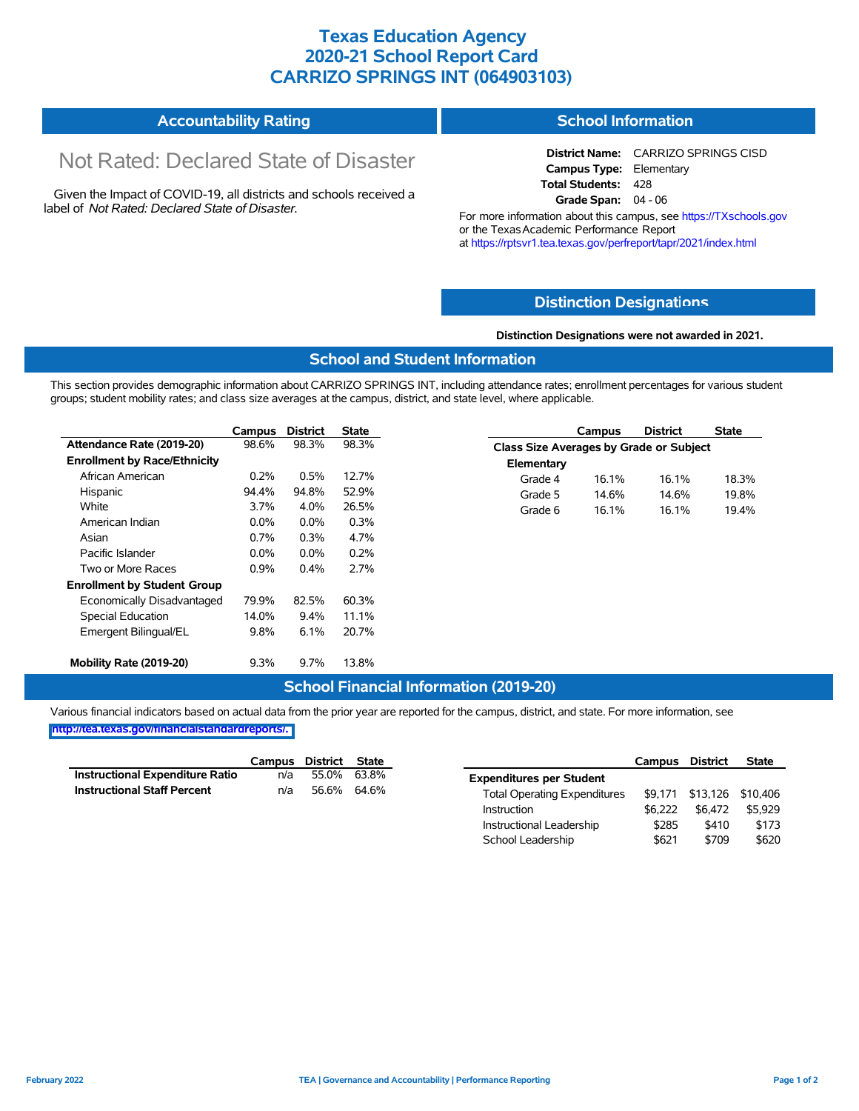# **Texas Education Agency 2020-21 School Report Card CARRIZO SPRINGS INT (064903103)**

#### **Accountability Rating School Information**

# Not Rated: Declared State of Disaster

Given the Impact of COVID-19, all districts and schools received a label of *Not Rated: Declared State of Disaster.*

**District Name:** CARRIZO SPRINGS CISD **Campus Type:** Elementary **Total Students:** 428 **Grade Span:** 04 - 06

For more information about this campus, see https://TXschools.gov or the TexasAcademic Performance Report at https://rptsvr1.tea.texas.gov/perfreport/tapr/2021/index.html

## **Distinction Designat[ions](https://TXschools.gov)**

**Class Size Averages by Grade or Subject**

**Elementary**

#### **Distinction Designations were not awarded in 2021.**

**Campus District State**

Grade 4 16.1% 16.1% 18.3% Grade 5 14.6% 14.6% 19.8% Grade 6 16.1% 16.1% 19.4%

#### **School and Student Information**

This section provides demographic information about CARRIZO SPRINGS INT, including attendance rates; enrollment percentages for various student groups; student mobility rates; and class size averages at the campus, district, and state level, where applicable.

|                                     | Campus  | <b>District</b> | State |
|-------------------------------------|---------|-----------------|-------|
| Attendance Rate (2019-20)           | 98.6%   | 98.3%           | 98.3% |
| <b>Enrollment by Race/Ethnicity</b> |         |                 |       |
| African American                    | $0.2\%$ | $0.5\%$         | 12.7% |
| Hispanic                            | 94.4%   | 94.8%           | 52.9% |
| White                               | 3.7%    | $4.0\%$         | 26.5% |
| American Indian                     | $0.0\%$ | $0.0\%$         | 0.3%  |
| Asian                               | $0.7\%$ | 0.3%            | 4.7%  |
| Pacific Islander                    | $0.0\%$ | $0.0\%$         | 0.2%  |
| Two or More Races                   | 0.9%    | $0.4\%$         | 2.7%  |
| <b>Enrollment by Student Group</b>  |         |                 |       |
| Economically Disadvantaged          | 79.9%   | 82.5%           | 60.3% |
| <b>Special Education</b>            | 14.0%   | $9.4\%$         | 11.1% |
| Emergent Bilingual/EL               | $9.8\%$ | 6.1%            | 20.7% |
| Mobility Rate (2019-20)             | $9.3\%$ | $9.7\%$         | 13.8% |

# **School Financial Information (2019-20)**

|                                        | Campus District State |             |  |
|----------------------------------------|-----------------------|-------------|--|
| <b>Instructional Expenditure Ratio</b> | n/a                   | 55.0% 63.8% |  |
| <b>Instructional Staff Percent</b>     | n/a                   | 56.6% 64.6% |  |

|                                     | Campus  | District | <b>State</b> |
|-------------------------------------|---------|----------|--------------|
| <b>Expenditures per Student</b>     |         |          |              |
| <b>Total Operating Expenditures</b> | \$9.171 | \$13.126 | \$10,406     |
| Instruction                         | \$6.222 | \$6.472  | \$5.929      |
| Instructional Leadership            | \$285   | \$410    | \$173        |
| School Leadership                   | \$621   | \$709    | \$620        |